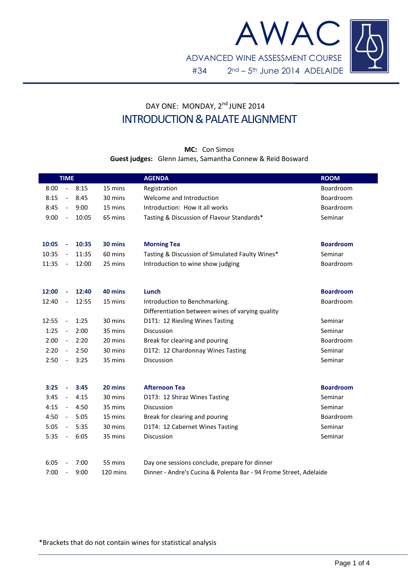

# DAY ONE: MONDAY, 2<sup>nd</sup> JUNE 2014 INTRODUCTION & PALATE ALIGNMENT

### **MC:** Con Simos **Guest judges:** Glenn James, Samantha Connew & Reid Bosward

| <b>TIME</b> |                              |       |          | <b>AGENDA</b>                                                     | <b>ROOM</b>      |
|-------------|------------------------------|-------|----------|-------------------------------------------------------------------|------------------|
| 8:00        | $\sim 10^{-1}$               | 8:15  | 15 mins  | Registration                                                      | Boardroom        |
| 8:15        | $\overline{\phantom{a}}$     | 8:45  | 30 mins  | Welcome and Introduction                                          | Boardroom        |
| 8:45        | $\sim$                       | 9:00  | 15 mins  | Introduction: How it all works                                    | Boardroom        |
| 9:00        | $\blacksquare$               | 10:05 | 65 mins  | Tasting & Discussion of Flavour Standards*                        | Seminar          |
|             |                              |       |          |                                                                   |                  |
|             |                              |       |          |                                                                   |                  |
| 10:05       | $\Delta \sim 10$             | 10:35 | 30 mins  | <b>Morning Tea</b>                                                | <b>Boardroom</b> |
| 10:35       | $\overline{\phantom{a}}$     | 11:35 | 60 mins  | Tasting & Discussion of Simulated Faulty Wines*                   | Seminar          |
| 11:35       | $\sim 100$                   | 12:00 | 25 mins  | Introduction to wine show judging                                 | Boardroom        |
|             |                              |       |          |                                                                   |                  |
| 12:00       | $\sim$                       | 12:40 | 40 mins  | Lunch                                                             | <b>Boardroom</b> |
| 12:40       | $\overline{\phantom{a}}$     | 12:55 | 15 mins  | Introduction to Benchmarking.                                     | Boardroom        |
|             |                              |       |          | Differentiation between wines of varying quality                  |                  |
| 12:55       | $\omega$                     | 1:25  | 30 mins  | D1T1: 12 Riesling Wines Tasting                                   | Seminar          |
| 1:25        | $\sim$                       | 2:00  | 35 mins  | Discussion                                                        | Seminar          |
| 2:00        | $\sim$                       | 2:20  | 20 mins  | Break for clearing and pouring                                    | Boardroom        |
| 2:20        | $\mathcal{L}_{\mathcal{A}}$  | 2:50  | 30 mins  | D1T2: 12 Chardonnay Wines Tasting                                 | Seminar          |
|             |                              |       |          |                                                                   |                  |
| 2:50        | $\overline{\phantom{a}}$     | 3:25  | 35 mins  | <b>Discussion</b>                                                 | Seminar          |
|             |                              |       |          |                                                                   |                  |
| 3:25        | $\sim$                       | 3:45  | 20 mins  | <b>Afternoon Tea</b>                                              | <b>Boardroom</b> |
| 3:45        | $\blacksquare$               | 4:15  | 30 mins  | D1T3: 12 Shiraz Wines Tasting                                     | Seminar          |
| 4:15        | $\overline{\phantom{a}}$     | 4:50  | 35 mins  | <b>Discussion</b>                                                 | Seminar          |
| 4:50        | $\overline{\phantom{a}}$     | 5:05  | 15 mins  | Break for clearing and pouring                                    | Boardroom        |
| 5:05        | $\sim$                       | 5:35  | 30 mins  | D1T4: 12 Cabernet Wines Tasting                                   | Seminar          |
| 5:35        | $\sim$                       | 6:05  | 35 mins  | Discussion                                                        | Seminar          |
|             |                              |       |          |                                                                   |                  |
| 6:05        | $\qquad \qquad \blacksquare$ | 7:00  | 55 mins  | Day one sessions conclude, prepare for dinner                     |                  |
| 7:00        | $\overline{\phantom{a}}$     | 9:00  | 120 mins | Dinner - Andre's Cucina & Polenta Bar - 94 Frome Street, Adelaide |                  |

\*Brackets that do not contain wines for statistical analysis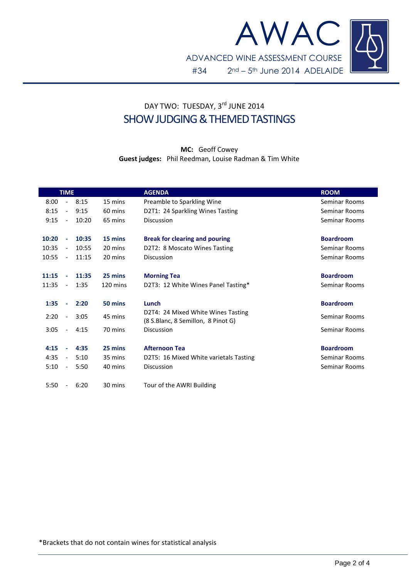

# DAY TWO: TUESDAY, 3rd JUNE 2014 SHOW JUDGING & THEMED TASTINGS

### **MC:** Geoff Cowey **Guest judges:** Phil Reedman, Louise Radman & Tim White

| <b>TIME</b> |                          |       |          | <b>AGENDA</b>                          | <b>ROOM</b>      |
|-------------|--------------------------|-------|----------|----------------------------------------|------------------|
| 8:00        | $\blacksquare$           | 8:15  | 15 mins  | Preamble to Sparkling Wine             | Seminar Rooms    |
| 8:15        | $-$                      | 9:15  | 60 mins  | D2T1: 24 Sparkling Wines Tasting       | Seminar Rooms    |
| 9:15        | $\overline{\phantom{a}}$ | 10:20 | 65 mins  | <b>Discussion</b>                      | Seminar Rooms    |
|             |                          |       |          |                                        |                  |
| 10:20       | $\blacksquare$           | 10:35 | 15 mins  | <b>Break for clearing and pouring</b>  | <b>Boardroom</b> |
| 10:35       | $\overline{\phantom{a}}$ | 10:55 | 20 mins  | D2T2: 8 Moscato Wines Tasting          | Seminar Rooms    |
| 10:55       | $\overline{\phantom{a}}$ | 11:15 | 20 mins  | <b>Discussion</b>                      | Seminar Rooms    |
|             |                          |       |          |                                        |                  |
| 11:15       | $\blacksquare$           | 11:35 | 25 mins  | <b>Morning Tea</b>                     | <b>Boardroom</b> |
| 11:35       | $\blacksquare$           | 1:35  | 120 mins | D2T3: 12 White Wines Panel Tasting*    | Seminar Rooms    |
|             |                          |       |          |                                        |                  |
| 1:35        | $\blacksquare$           | 2:20  | 50 mins  | Lunch                                  | <b>Boardroom</b> |
| 2:20        | $\blacksquare$           | 3:05  | 45 mins  | D2T4: 24 Mixed White Wines Tasting     | Seminar Rooms    |
|             |                          |       |          | (8 S.Blanc, 8 Semillon, 8 Pinot G)     |                  |
| 3:05        | $\overline{\phantom{a}}$ | 4:15  | 70 mins  | Discussion                             | Seminar Rooms    |
|             |                          |       |          |                                        |                  |
| 4:15        |                          | 4:35  | 25 mins  | <b>Afternoon Tea</b>                   | <b>Boardroom</b> |
| 4:35        | $\overline{\phantom{a}}$ | 5:10  | 35 mins  | D2T5: 16 Mixed White varietals Tasting | Seminar Rooms    |
| 5:10        | $\overline{\phantom{a}}$ | 5:50  | 40 mins  | <b>Discussion</b>                      | Seminar Rooms    |
|             |                          |       |          |                                        |                  |
| 5:50        | $\overline{\phantom{a}}$ | 6:20  | 30 mins  | Tour of the AWRI Building              |                  |

\*Brackets that do not contain wines for statistical analysis

 $\overline{\phantom{a}}$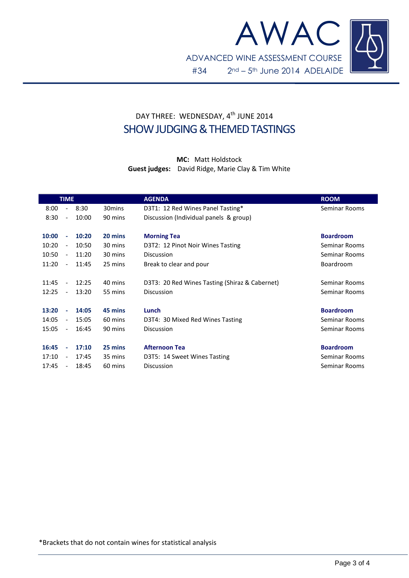



### **MC:** Matt Holdstock **Guest judges:** David Ridge, Marie Clay & Tim White

|       | <b>TIME</b>              |       |                    | <b>AGENDA</b>                                  | <b>ROOM</b>      |
|-------|--------------------------|-------|--------------------|------------------------------------------------|------------------|
| 8:00  | $\overline{\phantom{a}}$ | 8:30  | 30 <sub>mins</sub> | D3T1: 12 Red Wines Panel Tasting*              | Seminar Rooms    |
| 8:30  | $\overline{\phantom{a}}$ | 10:00 | 90 mins            | Discussion (Individual panels & group)         |                  |
| 10:00 |                          | 10:20 | 20 mins            | <b>Morning Tea</b>                             | <b>Boardroom</b> |
| 10:20 | $\overline{\phantom{a}}$ | 10:50 | 30 mins            | D3T2: 12 Pinot Noir Wines Tasting              | Seminar Rooms    |
| 10:50 | $\overline{\phantom{a}}$ | 11:20 | 30 mins            | <b>Discussion</b>                              | Seminar Rooms    |
| 11:20 | $\overline{\phantom{a}}$ | 11:45 | 25 mins            | Break to clear and pour                        | Boardroom        |
| 11:45 | $\blacksquare$           | 12:25 | 40 mins            | D3T3: 20 Red Wines Tasting (Shiraz & Cabernet) | Seminar Rooms    |
| 12:25 | $\overline{\phantom{a}}$ | 13:20 | 55 mins            | <b>Discussion</b>                              | Seminar Rooms    |
| 13:20 | $\mathbf{r}$             | 14:05 | 45 mins            | Lunch                                          | <b>Boardroom</b> |
| 14:05 | $\overline{\phantom{a}}$ | 15:05 | 60 mins            | D3T4: 30 Mixed Red Wines Tasting               | Seminar Rooms    |
| 15:05 | $\overline{\phantom{a}}$ | 16:45 | 90 mins            | <b>Discussion</b>                              | Seminar Rooms    |
|       |                          |       |                    |                                                |                  |
| 16:45 | $\sim$                   | 17:10 | 25 mins            | <b>Afternoon Tea</b>                           | <b>Boardroom</b> |
| 17:10 | $\overline{\phantom{a}}$ | 17:45 | 35 mins            | D3T5: 14 Sweet Wines Tasting                   | Seminar Rooms    |
| 17:45 |                          | 18:45 | 60 mins            | Discussion                                     | Seminar Rooms    |